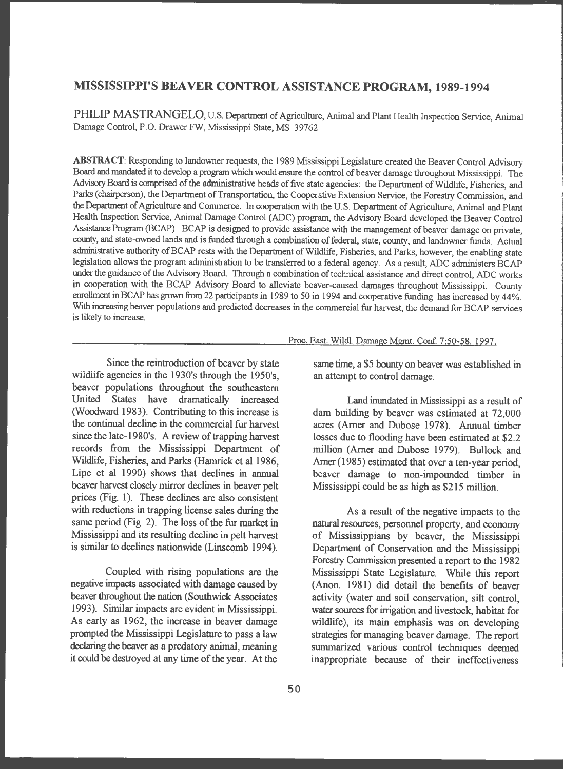# **MISSISSIPPI'S BEA VER CONTROL ASSISTANCE PROGRAM, 1989-1994**

PHILIP MASTRANGELO, U.S. Department of Agriculture, Animal and Plant Health Inspection Service, Animal Damage Control, P.O. Drawer FW, Mississippi State, MS 39762

**ABSTRACT:** Responding to landowner requests, the 1989 Mississippi Legislature created the Beaver Control Advisory Board and mandated it to develop a program which would ensure the control of beaver damage throughout Mississippi. The Advisory Board is comprised of the administrative heads of five state agencies: the Department of Wildlife, Fisheries, and Parks (chairperson), the Department of Transportation, the Cooperative Extension Service, the Forestry Commission, and the Department of Agriculture and Commerce. In cooperation with the U.S. Department of Agriculture, Animal and Plant Health Inspection Service, Animal Damage Control (ADC) program, the Advisory Board developed the Beaver Control Assistance Program (BCAP). BCAP is designed to provide assistance with the management of beaver damage on private, county, and state-owned lands and is funded through a combination of federal, state, county, and landowner funds. Actual administrative authority of BCAP rests with the Department of Wildlife, Fisheries, and Parks, however, the enabling state legislation allows the program administration to be transferred to a federal agency. As a result, ADC administers BCAP under the guidance of the Advisory Board. Through a combination of technical assistance and direct control, ADC works in cooperation with the BCAP Advisory Board to alleviate beaver-caused damages throughout Mississippi. County enrollment in BCAP has grown from 22 participants in 1989 to 50 in 1994 and cooperative funding has increased by 44%. With increasing beaver populations and predicted decreases in the commercial fur harvest, the demand for BCAP services is likely to increase.

Since the reintroduction of beaver by state wildlife agencies in the 1930's through the 1950's, beaver populations throughout the southeastern United States have dramatically increased (Woodward 1983). Contributing to this increase is the continual decline in the commercial fur harvest since the late-l 980's. A review of trapping harvest records from the Mississippi Department of Wildlife, Fisheries, and Parks (Hamrick et al 1986, Lipe et al 1990) shows that declines in annual beaver harvest closely mirror declines in beaver pelt prices (Fig. 1). These declines are also consistent with reductions in trapping license sales during the same period (Fig. 2). The loss of the fur market in Mississippi and its resulting decline in pelt harvest is similar to declines nationwide (Linscomb 1994).

Coupled with rising populations are the negative impacts associated with damage caused by beaver throughout the nation (Southwick Associates 1993). Similar impacts are evident in Mississippi. As early as 1962, the increase in beaver damage prompted the Mississippi Legislature to pass a law declaring the beaver as a predatory animal, meaning it could be destroyed at any time of the year. At the

#### Proc. East. Wildl. Damage Mgmt. Conf. 7 :50-58. 1997.

same time, a \$5 bounty on beaver was established in an attempt to control damage.

Land inundated in Mississippi as a result of dam building by beaver was estimated at 72,000 acres (Amer and Dubose 1978). Annual timber losses due to flooding have been estimated at \$2.2 million (Amer and Dubose 1979). Bullock and Amer (1985) estimated that over a ten-year period, beaver damage to non-impounded timber in Mississippi could be as high as \$215 million.

**As a** result of the negative impacts to the natural resources, personnel property, and economy of Mississippians by beaver, the Mississippi Department of Conservation and the Mississippi Forestry Commission presented a report to the 1982 Mississippi State Legislature. While this report (Anon. 1981) did detail the benefits of beaver activity (water and soil conservation, silt control, water sources for irrigation and livestock, habitat for wildlife), its main emphasis was on developing strategies for managing beaver damage. The report summarized various control techniques deemed inappropriate because of their ineffectiveness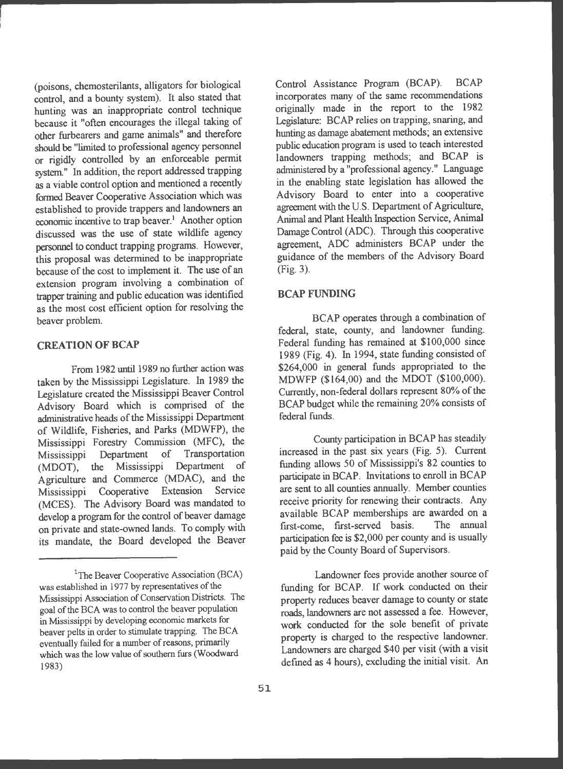(poisons, chemosterilants, alligators for biological control, and a bounty system). It also stated that hunting was an inappropriate control technique because it "often encourages the illegal taking of other furbearers and game animals" and therefore should be "limited to professional agency personnel or rigidly controlled by an enforceable permit system." In addition, the report addressed trapping as a viable control option and mentioned a recently formed Beaver Cooperative Association which was established to provide trappers and landowners an economic incentive to trap beaver.<sup>1</sup> Another option discussed was the use of state wildlife agency personnel to conduct trapping programs. However, this proposal was determined to be inappropriate because of the cost to implement it. The use of an extension program involving a combination of trapper training and public education was identified as the most cost efficient option for resolving the beaver problem.

# **CREATION OF BCAP**

From 1982 until 1989 no further action was taken by the Mississippi Legislature. In 1989 the Legislature created the Mississippi Beaver Control Advisory Board which is comprised of the administrative heads of the Mississippi Department of Wildlife, Fisheries, and Parks (MDWFP), the Mississippi Forestry Commission (MFC), the Mississippi Department of Transportation (MOOT), the Mississippi Department of Agriculture and Commerce (MDAC), and the Mississippi Cooperative Extension Service (MCES). The Advisory Board was mandated to develop a program for the control of beaver damage on private and state-owned lands. To comply with its mandate, the Board developed the Beaver Control Assistance Program (BCAP). BCAP incorporates many of the same recommendations originally made in the report to the <sup>1982</sup> Legislature: BCAP relies on trapping, snaring, and hunting as damage abatement methods; an extensive public education program is used to teach interested landowners trapping methods; and BCAP is administered by a "professional agency ." Language in the enabling state legislation has allowed the Advisory Board to enter into a cooperative agreement with the U.S. Department of Agriculture, Animal and Plant Health Inspection Service, Animal Damage Control (ADC). Through this cooperative agreement, ADC administers BCAP under the guidance of the members of the Advisory Board (Fig. 3).

#### **BCAP FUNDING**

BCAP operates through a combination of federal, state, county, and landowner funding. Federal funding has remained at \$100,000 since 1989 (Fig. 4). In 1994, state funding consisted of \$264,000 in general funds appropriated to the MDWFP (\$164 ,00) and the MOOT (\$100,000). Currently, non-federal dollars represent 80% of the BCAP budget while the remaining 20% consists of federal funds.

County participation in BCAP has steadily increased in the past six years (Fig. 5). Current funding allows 50 of Mississippi's 82 counties to participate in BCAP. Invitations to enroll in BCAP are sent to all counties annually. Member counties receive priority for renewing their contracts. Any available BCAP memberships are awarded on a first-come, first-served basis . The annual participation fee is \$2,000 per county and is usually paid by the County Board of Supervisors .

Landowner fees provide another source of funding for BCAP. If work conducted on their property reduces beaver damage to county or state roads, landowners are not assessed a fee. However, work conducted for the sole benefit of private property is charged to the respective landowner. Landowners are charged \$40 per visit (with a visit defined as 4 hours), excluding the initial visit. An

<sup>&</sup>lt;sup>1</sup>The Beaver Cooperative Association (BCA) was established in 1977 by representatives of the Mississippi Association of Conservation Districts. The goal of the BCA was to control the beaver population in Mississippi by developing economic markets for beaver pelts in order to stimulate trapping. The BCA eventually failed for a nwnber of reasons, primarily which was the low value of southern furs (Woodward 1983)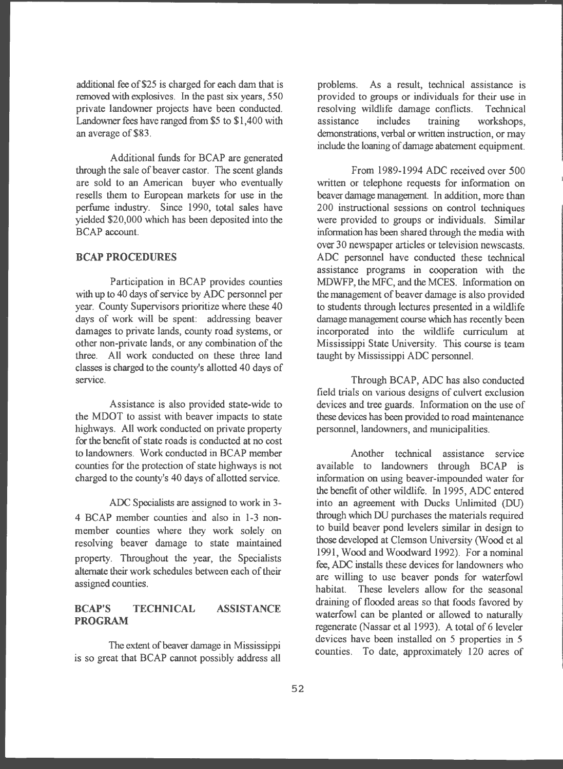additional fee of \$25 is charged for each dam that is removed with explosives. In the past six years, 550 private landowner projects have been conducted. Landowner fees have ranged from \$5 to \$1,400 with an average of \$83.

Additional funds for BCAP are generated through the sale of beaver castor. The scent glands are sold to an American buyer who eventually resells them to European markets for use in the perfume industry. Since 1990, total sales have <sup>y</sup>ielded \$20,000 which has been deposited into the BCAP account.

### **BCAP PROCEDURES**

Participation in BCAP provides counties with up to 40 days of service by ADC personnel per year. County Supervisors prioritize where these 40 days of work will be spent: addressing beaver damages to private lands, county road systems, or other non-private lands, or any combination of the three. All work conducted on these three land classes is charged to the county's allotted 40 days of service.

Assistance is also provided state-wide to the MOOT to assist with beaver impacts to state highways. All work conducted on private property for the benefit of state roads is conducted at no cost to landowners. Work conducted in BCAP member counties for the protection of state highways is not charged to the county's 40 days of allotted service.

ADC Specialists are assigned to work in 3- 4 BCAP member counties and also in 1-3 nonmember counties where they work solely on resolving beaver damage to state maintained property. Throughout the year, the Specialists alternate their work schedules between each of their assigned counties.

# **BCAP'S TECHNICAL ASSISTANCE PROGRAM**

The extent of beaver damage in Mississippi is so great that BCAP cannot possibly address all

problems. As a result, technical assistance is provided to groups or individuals for their use in resolving wildlife damage conflicts. Technical assistance includes training workshops, demonstrations, verbal or written instruction, or may include the loaning of damage abatement equipment.

From 1989-1994 ADC received over 500 written or telephone requests for information on beaver damage management. In addition, more than 200 instructional sessions on control techniques were provided to groups or individuals. Similar information has been shared through the media with over 30 newspaper articles or television newscasts. ADC personnel have conducted these technical assistance programs in cooperation with the MDWFP, the MFC, and the MCES. Information on the management of beaver damage is also provided to students through lectures presented in a wildlife damage management course which has recently been incorporated into the wildlife curriculum at Mississippi State University. This course is team taught by Mississippi ADC personnel.

Through BCAP, ADC has also conducted field trials on various designs of culvert exclusion devices and tree guards. Information on the use of these devices has been provided to road maintenance personnel, landowners, and municipalities.

Another technical assistance service available to landowners through BCAP is information on using beaver-impounded water for the benefit of other wildlife. In 1995, ADC entered into an agreement with Ducks Unlimited (DU) through which DU purchases the materials required to build beaver pond levelers similar in design to those developed at Clemson University (Wood et al 1991, Wood and Woodward 1992). For a nominal fee, ADC installs these devices for landowners who are willing to use beaver ponds for waterfowl habitat. These levelers allow for the seasonal draining of flooded areas so that foods favored by waterfowl can be planted or allowed to naturally regenerate (Nassar et al 1993). A total of 6 leveler devices have been installed on 5 properties in 5 counties. To date, approximately 120 acres of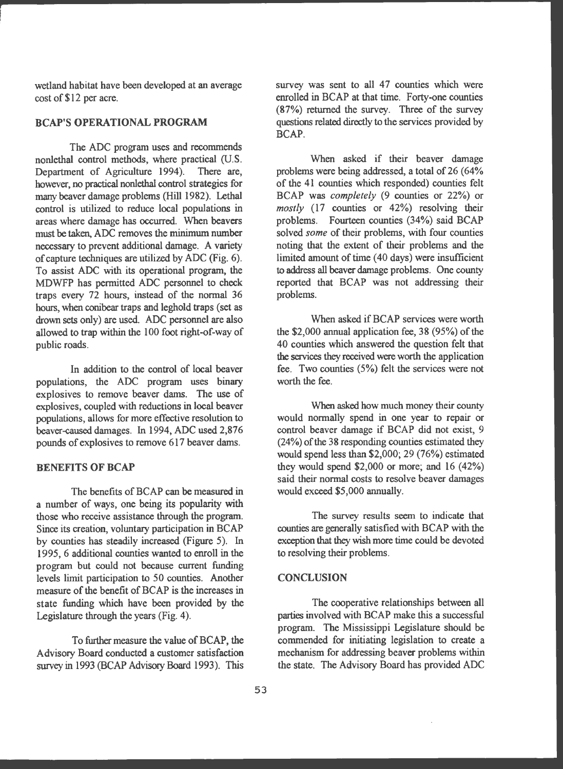wetland habitat have been developed at an average cost of \$12 per acre.

# **BCAP'S OPERATIONAL PROGRAM**

The ADC program uses and recommends nonlethal control methods, where practical (U.S. Department of Agriculture 1994). There are, however, no practical nonlethal control strategies for many beaver damage problems (Hill 1982). Lethal control is utilized to reduce local populations in areas where damage has occurred. When beavers must be taken, ADC removes the minimum number necessary to prevent additional damage. A variety of capture techniques are utilized by ADC (Fig. 6). To assist ADC with its operational program, the MDWFP has permitted ADC personnel to check traps every 72 hours, instead of the normal 36 hours, when conibear traps and leghold traps (set as drown sets only) are used. ADC personnel are also allowed to trap within the 100 foot right-of-way of public roads.

In addition to the control of local beaver populations, the ADC program uses binary explosives to remove beaver dams. The use of explosives, coupled with reductions in **local beaver**  populations, allows for more effective resolution to beaver-caused damages. In 1994, ADC used 2,876 pounds of explosives to remove 617 beaver dams.

### **BENEFITS OF BCAP**

The benefits of BCAP can be measured in a number of ways, one being its popularity with those who receive assistance through the program. Since its creation, voluntary participation in BCAP by counties has steadily increased (Figure 5). In 1995, 6 additional counties wanted to enroll in the program but could not because current funding levels limit participation to 50 counties. Another measure of the benefit of BCAP is the increases in state funding which have been provided by the Legislature through the years (Fig. 4).

To further measure the value of BCAP, the Advisory Board conducted a customer satisfaction survey in 1993 (BCAP Advisory Board 1993). This survey was sent to all 47 counties which were enrolled in BCAP at that time. Forty-one counties (87%) returned the survey. Three of the survey questions related directly to the services provided by BCAP.

When asked if their beaver damage problems were being addressed, a total of 26 (64% of the 41 counties which responded) counties felt BCAP was *completely* (9 counties or 22%) or *mostly* (17 counties or 42%) resolving their problems. Fourteen counties (34%) said BCAP solved *some* of their problems, with four counties noting that the extent of their problems and the limited amount of time (40 days) were insufficient to address all beaver damage problems. One county reported that BCAP was not addressing their problems.

When asked if BCAP services were worth the \$2,000 annual application fee, 38 (95%) of the 40 counties which answered the question felt that the services they received were worth the application fee. Two counties (5%) felt the services were not worth the fee.

When asked how much money their county would normally spend in one year to repair or control beaver damage if BCAP did not exist, 9 (24%) of the 38 responding counties estimated they would spend less than \$2,000; 29 (76%) estimated they would spend \$2,000 or more; and 16 (42%) said their normal costs to resolve beaver damages would exceed \$5,000 annually.

The survey results seem to indicate that counties are generally satisfied with BCAP with the exception that they wish more time could be devoted to resolving their problems.

# **CONCLUSION**

The cooperative relationships between all parties involved with BCAP make this a successful program. The Mississippi Legislature should be commended for initiating legislation to create a mechanism for addressing beaver problems within the state. The Advisory Board has provided ADC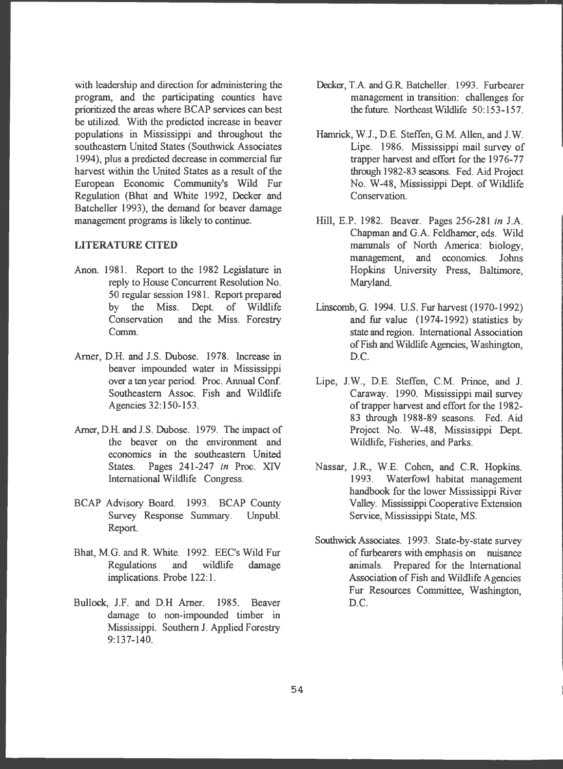with leadership and direction for administering the program, and the participating counties have prioritized the areas where BCAP services can best be utilized. With the predicted increase in beaver populations in Mississippi and throughout the southeastern United States (Southwick Associates 1994), plus a predicted decrease in commercial fur harvest within the United States as a result of the European Economic Community's Wild Fur Regulation (Bhat and White 1992, Decker and Batcheller 1993), the demand for beaver damage management programs is likely to continue.

# **LITERATURE CTTED**

- Anon. 1981. Report to the 1982 Legislature in reply to House Concurrent Resolution No. 50 regular session 1981. Report prepared by the Miss. Dept. of Wildlife Conservation and the Miss. Forestry Comm.
- Arner, D.H. and J.S. Dubose. 1978. Increase in beaver impounded water in Mississippi over a ten year period. Proc. Annual Conf. Southeastern Assoc. Fish and Wildlife Agencies 32: 150-153.
- Arner, D.H. and J.S. Dubose. 1979. The impact of the beaver on the environment and economics in the southeastern United States. Pages 241-247 *in* Proc. XIV International Wildlife Congress.
- BCAP Advisory Board. 1993. BCAP County Survey Response Summary. Unpubl. Report.
- Bhat, M.G. and R White. 1992. EEC's Wild Fur Regulations and wildlife damage implications. Probe 122:1.
- Bullock, J.F. and D.H Arner. 1985. Beaver damage to non-impounded timber in Mississippi. Southern J. Applied Forestry 9:137-140.
- Decker, T.A. and G.R Batcheller. 1993. Furbearer management in transition: challenges for the future. Northeast Wildlife 50:153-157.
- Hamrick, W.J., D.E. Steffen, G.M. Allen, and J. W. Lipe. 1986. Mississippi mail survey of trapper harvest and effort for the 1976-77 through 1982-83 seasons. Fed. Aid Project No. W-48, Mississippi Dept. of Wildlife Conservation.
- Hill, E.P. 1982. Beaver. Pages 256-281 *in* J.A. Chapman and G.A. Feldhamer, eds. Wild mammals of North America: biology, management, and economics. Johns Hopkins University Press, Baltimore, Maryland.
- Linscomb, G. 1994. U.S. Fur harvest (1970-1992) and fur value (1974-1992) statistics by state and region. International Association of Fish and Wildlife Agencies, Washington, D.C.
- Lipe, J.W., D.E. Steffen, C.M. Prince, and J. Caraway. 1990. Mississippi mail survey of trapper harvest and effort for the 1982- 83 through 1988-89 seasons. Fed. Aid Project No. W-48, Mississippi Dept. Wildlife, Fisheries, and Parks.
- Nassar, J.R., W.E. Cohen, and C.R. Hopkins. 1993. Waterfowl habitat management handbook for the lower Mississippi River Valley. Mississippi Cooperative Extension Service, Mississippi State, MS.
- Southwick Associates. 1993. State-by-state survey of furbearers with emphasis on nuisance animals. Prepared for the International Association of Fish and Wildlife Agencies Fur Resources Committee, Washington, D.C.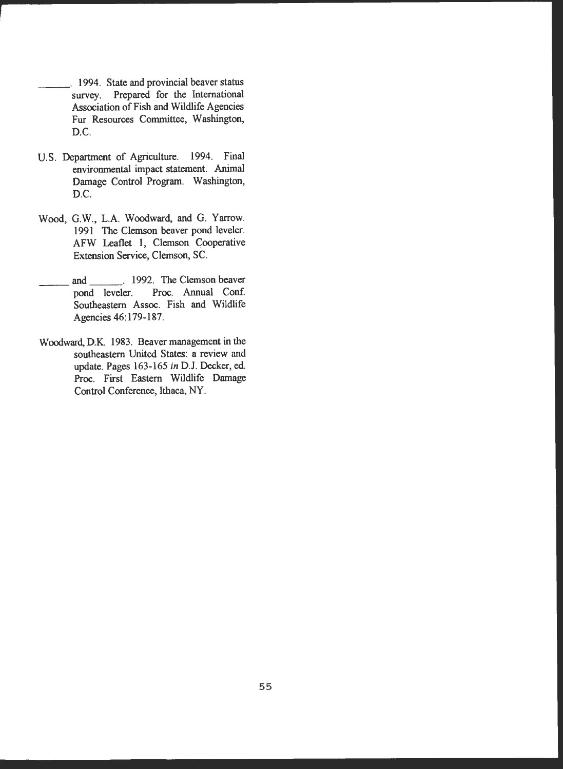- \_\_ \_ . 1994. State and provincial beaver status survey. Prepared for the International Association of Fish and Wildlife Agencies Fur Resources Committee, Washington, D.C.
- U.S. Department of Agriculture. 1994. Final environmental impact statement. Animal Damage Control Program. Washington, D.C.
- Wood, G.W., L.A. Woodward, and G. Yarrow. 1991 The Clemson beaver pond leveler. AFW Leaflet 1, Clemson Cooperative Extension Service, Clemson, SC.
- and \_\_\_\_\_. 1992. The Clemson beaver<br>pond leveler. Proc. Annual Conf. Proc. Annual Conf. Southeastern Assoc. Fish and Wildlife Agencies 46:179-187.
- Woodward, D.K. 1983. Beaver management in the southeastern United States: a review and update. Pages 163-165 in D.J. Decker, ed. Proc. First Eastern Wildlife Damage Control Conference, Ithaca, NY.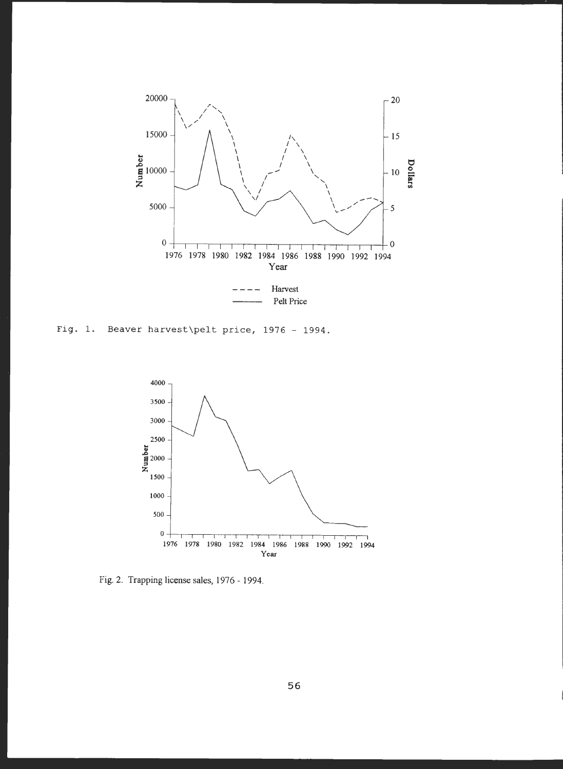

Fig. 1. Beaver harvest\pelt price,  $1976 - 1994$ .



Fig. 2. Trapping license sales, 1976 - 1994.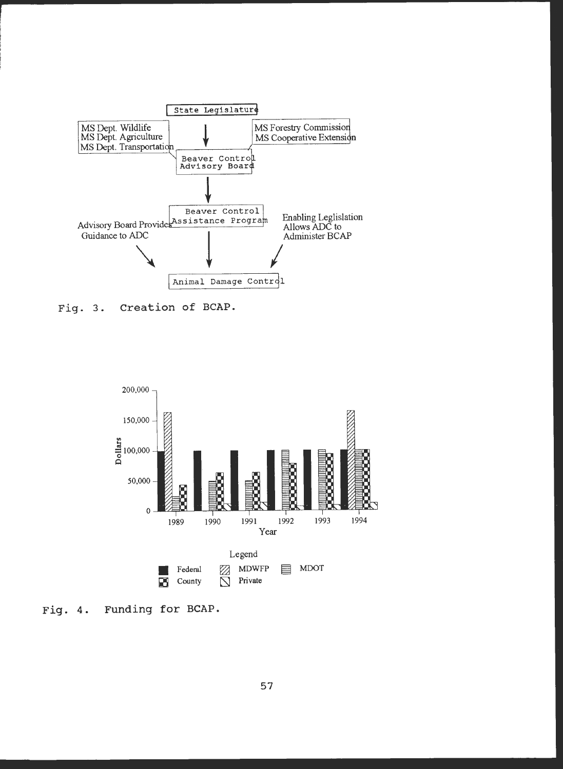

Creation of BCAP. Fig. 3.



Funding for BCAP. Fig.  $4.$